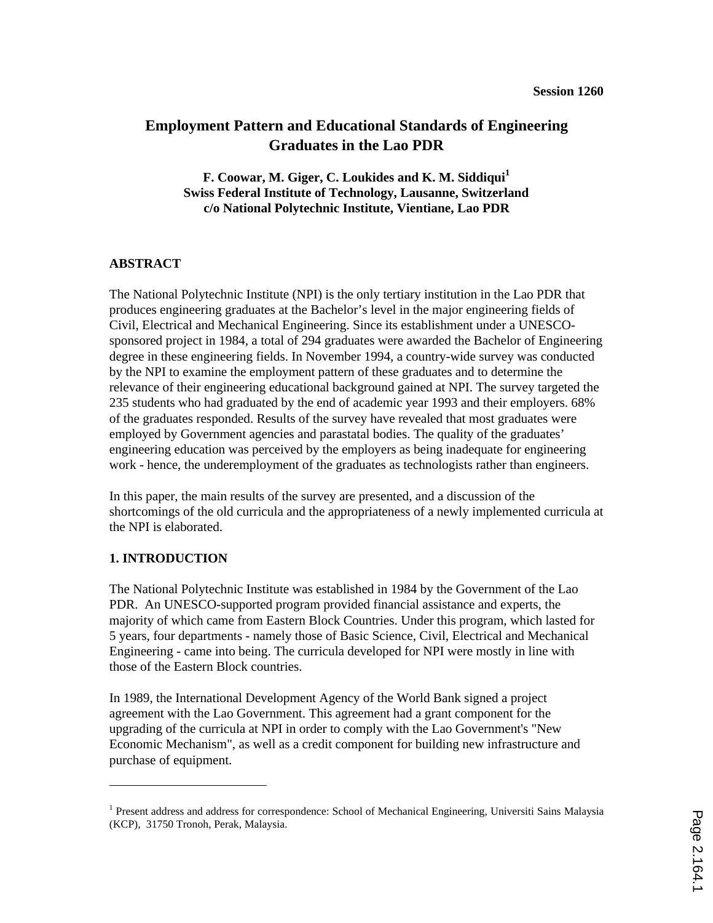# **Employment Pattern and Educational Standards of Engineering Graduates in the Lao PDR**

**F. Coowar, M. Giger, C. Loukides and K. M. Siddiqui<sup>1</sup> Swiss Federal Institute of Technology, Lausanne, Switzerland c/o National Polytechnic Institute, Vientiane, Lao PDR**

#### **ABSTRACT**

The National Polytechnic Institute (NPI) is the only tertiary institution in the Lao PDR that produces engineering graduates at the Bachelor's level in the major engineering fields of Civil, Electrical and Mechanical Engineering. Since its establishment under a UNESCOsponsored project in 1984, a total of 294 graduates were awarded the Bachelor of Engineering degree in these engineering fields. In November 1994, a country-wide survey was conducted by the NPI to examine the employment pattern of these graduates and to determine the relevance of their engineering educational background gained at NPI. The survey targeted the 235 students who had graduated by the end of academic year 1993 and their employers. 68% of the graduates responded. Results of the survey have revealed that most graduates were employed by Government agencies and parastatal bodies. The quality of the graduates' engineering education was perceived by the employers as being inadequate for engineering work - hence, the underemployment of the graduates as technologists rather than engineers.

In this paper, the main results of the survey are presented, and a discussion of the shortcomings of the old curricula and the appropriateness of a newly implemented curricula at the NPI is elaborated.

#### **1. INTRODUCTION**

 $\overline{a}$ 

The National Polytechnic Institute was established in 1984 by the Government of the Lao PDR. An UNESCO-supported program provided financial assistance and experts, the majority of which came from Eastern Block Countries. Under this program, which lasted for 5 years, four departments - namely those of Basic Science, Civil, Electrical and Mechanical Engineering - came into being. The curricula developed for NPI were mostly in line with those of the Eastern Block countries.

In 1989, the International Development Agency of the World Bank signed a project agreement with the Lao Government. This agreement had a grant component for the upgrading of the curricula at NPI in order to comply with the Lao Government's "New Economic Mechanism", as well as a credit component for building new infrastructure and purchase of equipment.

<sup>&</sup>lt;sup>1</sup> Present address and address for correspondence: School of Mechanical Engineering, Universiti Sains Malaysia (KCP), 31750 Tronoh, Perak, Malaysia.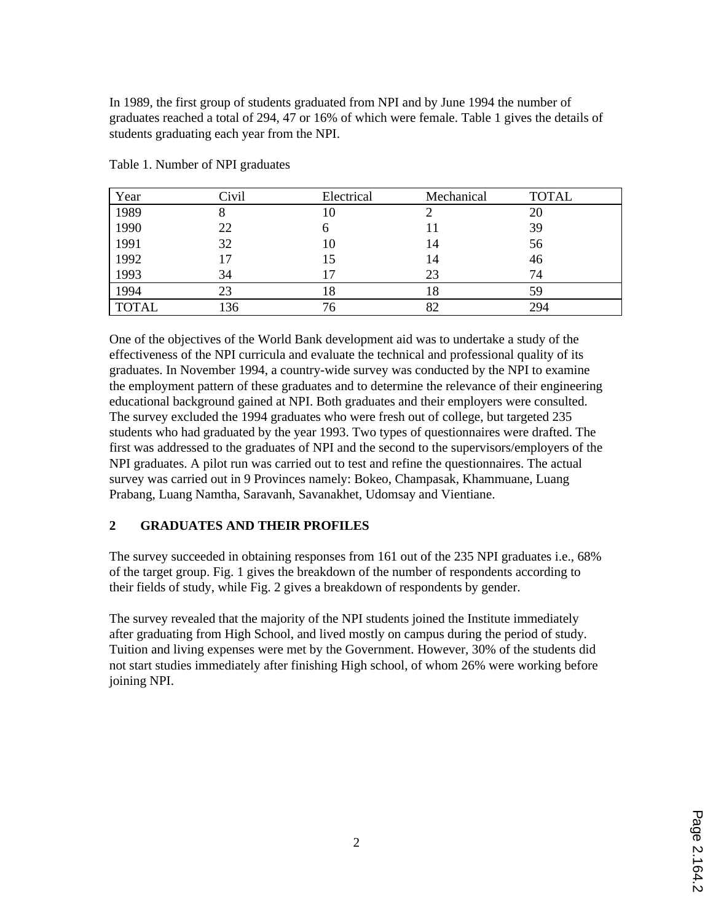In 1989, the first group of students graduated from NPI and by June 1994 the number of graduates reached a total of 294, 47 or 16% of which were female. Table 1 gives the details of students graduating each year from the NPI.

| Year         | Civil | Electrical | Mechanical | <b>TOTAL</b> |
|--------------|-------|------------|------------|--------------|
| 1989         |       | 10         |            | 20           |
| 1990         | 22    |            |            | 39           |
| 1991         | 32    | 10         | 14         | 56           |
| 1992         |       | 15         | 14         | 46           |
| 1993         | 34    |            | 23         | 74           |
| 1994         | 23    | 18         | 18         | 59           |
| <b>TOTAL</b> | 136   | 76         | 82         | 294          |

Table 1. Number of NPI graduates

One of the objectives of the World Bank development aid was to undertake a study of the effectiveness of the NPI curricula and evaluate the technical and professional quality of its graduates. In November 1994, a country-wide survey was conducted by the NPI to examine the employment pattern of these graduates and to determine the relevance of their engineering educational background gained at NPI. Both graduates and their employers were consulted. The survey excluded the 1994 graduates who were fresh out of college, but targeted 235 students who had graduated by the year 1993. Two types of questionnaires were drafted. The first was addressed to the graduates of NPI and the second to the supervisors/employers of the NPI graduates. A pilot run was carried out to test and refine the questionnaires. The actual survey was carried out in 9 Provinces namely: Bokeo, Champasak, Khammuane, Luang Prabang, Luang Namtha, Saravanh, Savanakhet, Udomsay and Vientiane.

### **2 GRADUATES AND THEIR PROFILES**

The survey succeeded in obtaining responses from 161 out of the 235 NPI graduates i.e., 68% of the target group. Fig. 1 gives the breakdown of the number of respondents according to their fields of study, while Fig. 2 gives a breakdown of respondents by gender.

The survey revealed that the majority of the NPI students joined the Institute immediately after graduating from High School, and lived mostly on campus during the period of study. Tuition and living expenses were met by the Government. However, 30% of the students did not start studies immediately after finishing High school, of whom 26% were working before joining NPI.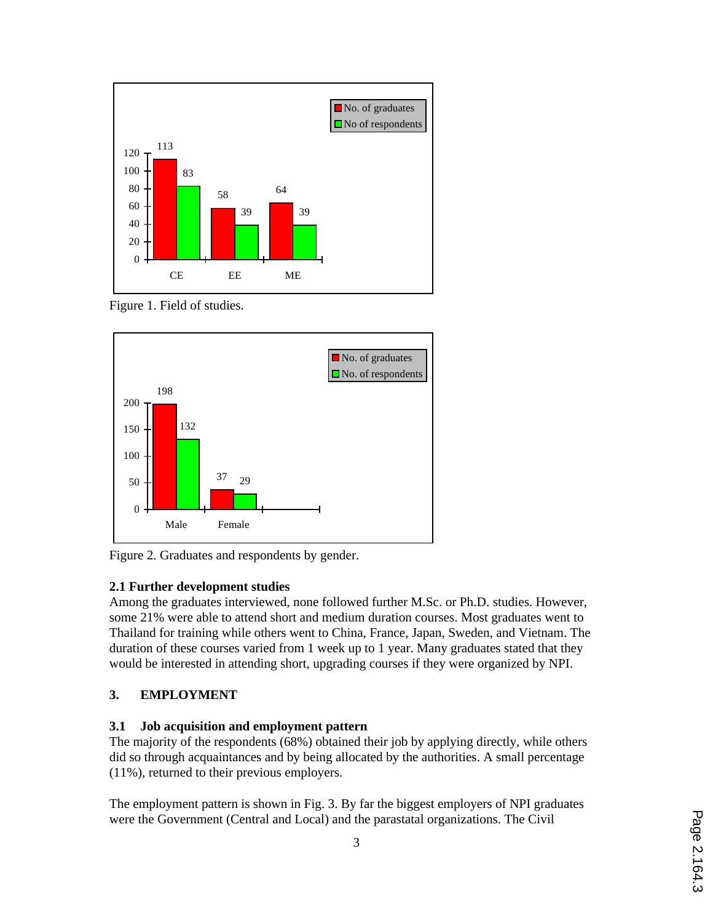

Figure 1. Field of studies.



Figure 2. Graduates and respondents by gender.

## **2.1 Further development studies**

Among the graduates interviewed, none followed further M.Sc. or Ph.D. studies. However, some 21% were able to attend short and medium duration courses. Most graduates went to Thailand for training while others went to China, France, Japan, Sweden, and Vietnam. The duration of these courses varied from 1 week up to 1 year. Many graduates stated that they would be interested in attending short, upgrading courses if they were organized by NPI.

## **3. EMPLOYMENT**

#### **3.1 Job acquisition and employment pattern**

The majority of the respondents (68%) obtained their job by applying directly, while others did so through acquaintances and by being allocated by the authorities. A small percentage (11%), returned to their previous employers.

The employment pattern is shown in Fig. 3. By far the biggest employers of NPI graduates were the Government (Central and Local) and the parastatal organizations. The Civil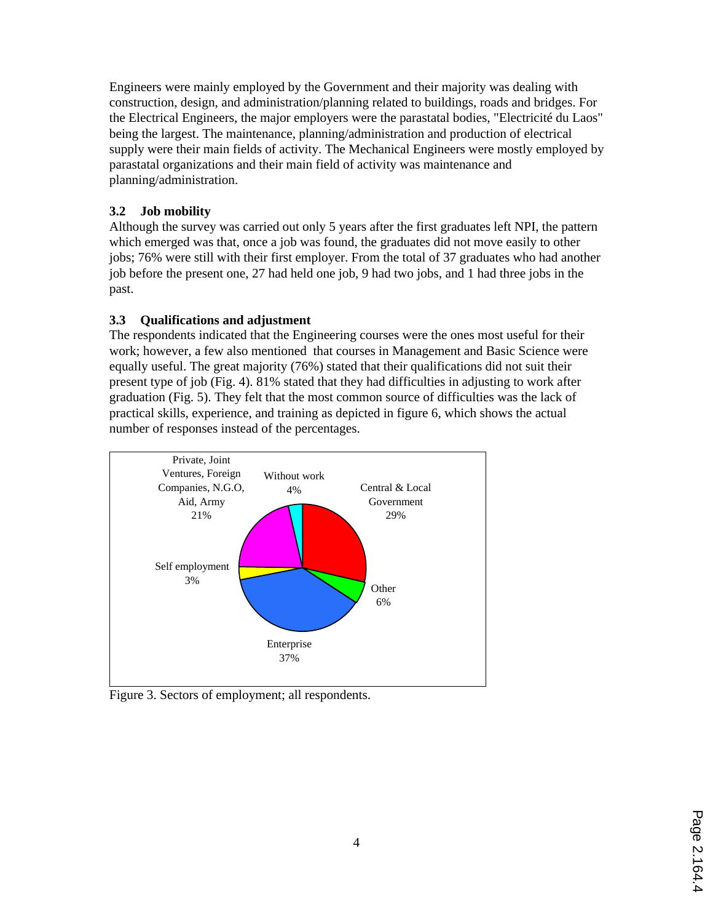Engineers were mainly employed by the Government and their majority was dealing with construction, design, and administration/planning related to buildings, roads and bridges. For the Electrical Engineers, the major employers were the parastatal bodies, "Electricité du Laos" being the largest. The maintenance, planning/administration and production of electrical supply were their main fields of activity. The Mechanical Engineers were mostly employed by parastatal organizations and their main field of activity was maintenance and planning/administration.

## **3.2 Job mobility**

Although the survey was carried out only 5 years after the first graduates left NPI, the pattern which emerged was that, once a job was found, the graduates did not move easily to other jobs; 76% were still with their first employer. From the total of 37 graduates who had another job before the present one, 27 had held one job, 9 had two jobs, and 1 had three jobs in the past.

## **3.3 Qualifications and adjustment**

The respondents indicated that the Engineering courses were the ones most useful for their work; however, a few also mentioned that courses in Management and Basic Science were equally useful. The great majority (76%) stated that their qualifications did not suit their present type of job (Fig. 4). 81% stated that they had difficulties in adjusting to work after graduation (Fig. 5). They felt that the most common source of difficulties was the lack of practical skills, experience, and training as depicted in figure 6, which shows the actual number of responses instead of the percentages.



Figure 3. Sectors of employment; all respondents.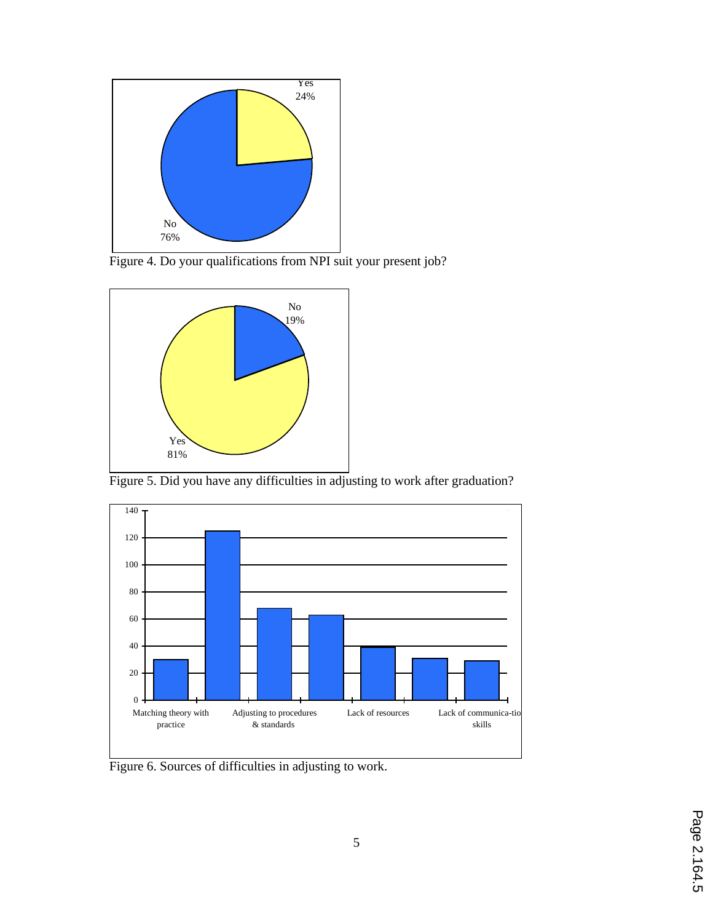

Figure 4. Do your qualifications from NPI suit your present job?



Figure 5. Did you have any difficulties in adjusting to work after graduation?



Figure 6. Sources of difficulties in adjusting to work.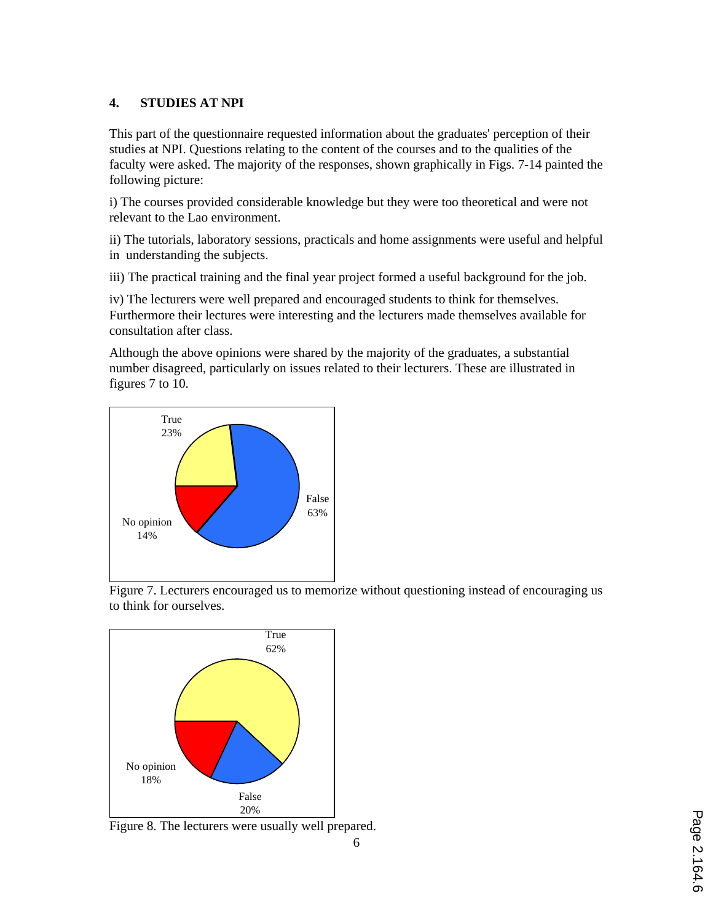#### **4. STUDIES AT NPI**

This part of the questionnaire requested information about the graduates' perception of their studies at NPI. Questions relating to the content of the courses and to the qualities of the faculty were asked. The majority of the responses, shown graphically in Figs. 7-14 painted the following picture:

i) The courses provided considerable knowledge but they were too theoretical and were not relevant to the Lao environment.

ii) The tutorials, laboratory sessions, practicals and home assignments were useful and helpful in understanding the subjects.

iii) The practical training and the final year project formed a useful background for the job.

iv) The lecturers were well prepared and encouraged students to think for themselves. Furthermore their lectures were interesting and the lecturers made themselves available for consultation after class.

Although the above opinions were shared by the majority of the graduates, a substantial number disagreed, particularly on issues related to their lecturers. These are illustrated in figures 7 to 10.



Figure 7. Lecturers encouraged us to memorize without questioning instead of encouraging us to think for ourselves.



Figure 8. The lecturers were usually well prepared.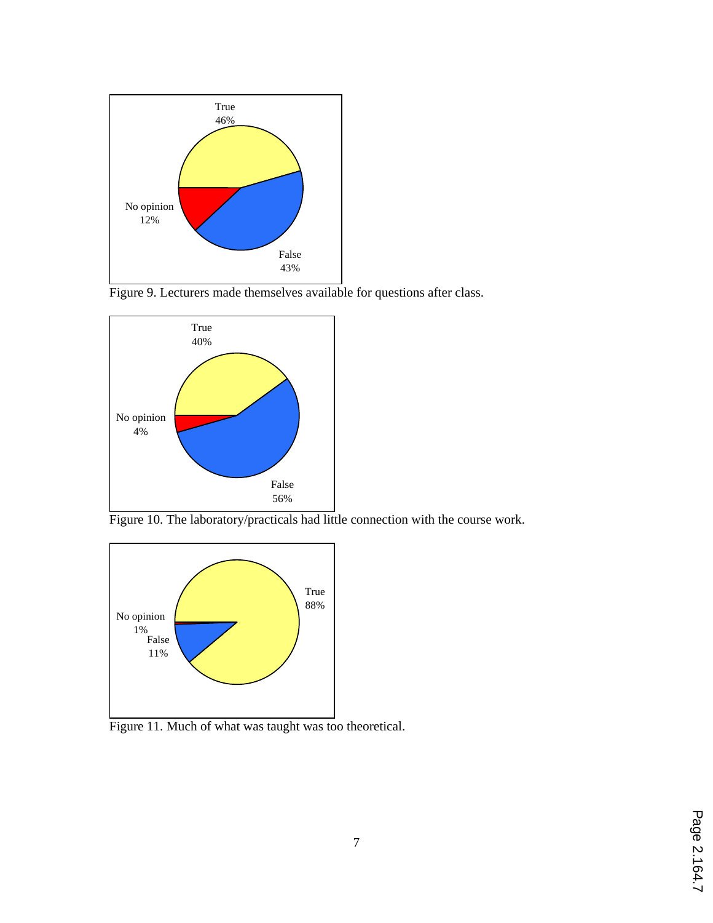

Figure 9. Lecturers made themselves available for questions after class.



Figure 10. The laboratory/practicals had little connection with the course work.



Figure 11. Much of what was taught was too theoretical.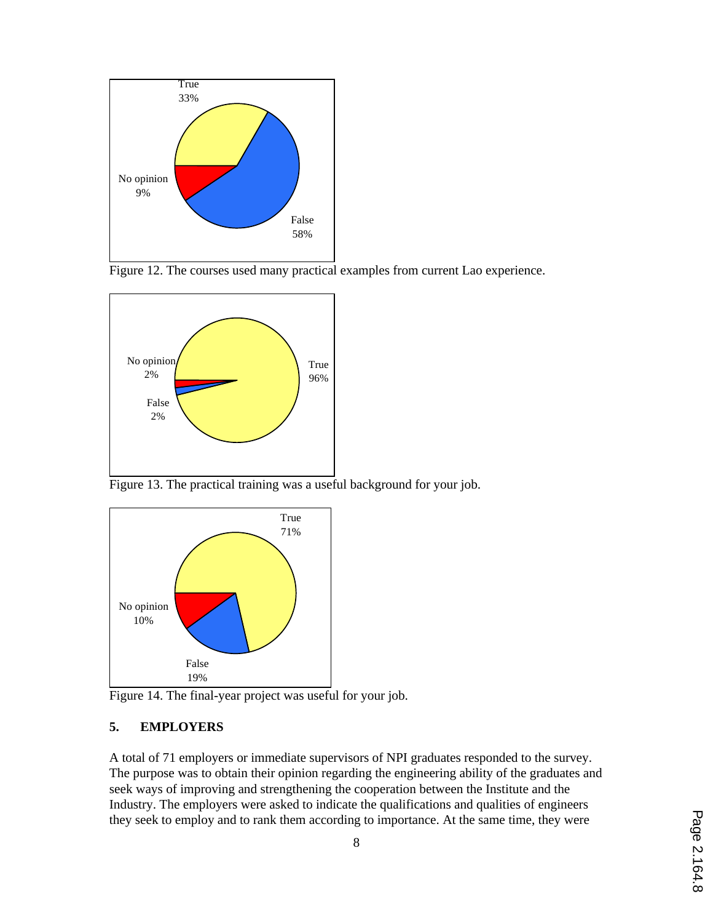

Figure 12. The courses used many practical examples from current Lao experience.



Figure 13. The practical training was a useful background for your job.



Figure 14. The final-year project was useful for your job.

## **5. EMPLOYERS**

A total of 71 employers or immediate supervisors of NPI graduates responded to the survey. The purpose was to obtain their opinion regarding the engineering ability of the graduates and seek ways of improving and strengthening the cooperation between the Institute and the Industry. The employers were asked to indicate the qualifications and qualities of engineers they seek to employ and to rank them according to importance. At the same time, they were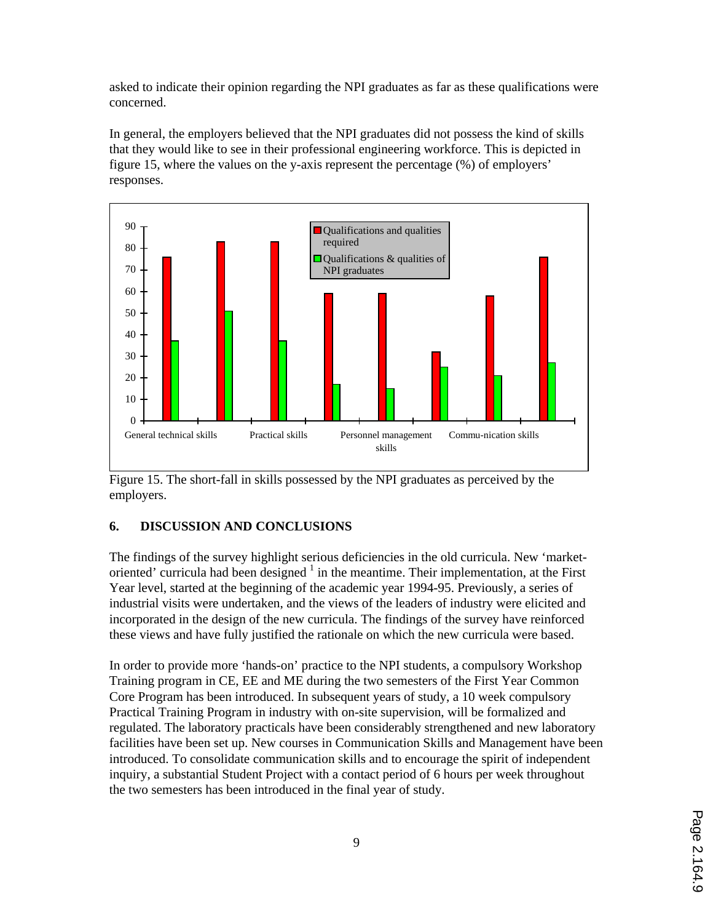asked to indicate their opinion regarding the NPI graduates as far as these qualifications were concerned.

In general, the employers believed that the NPI graduates did not possess the kind of skills that they would like to see in their professional engineering workforce. This is depicted in figure 15, where the values on the y-axis represent the percentage (%) of employers' responses.



Figure 15. The short-fall in skills possessed by the NPI graduates as perceived by the employers.

## **6. DISCUSSION AND CONCLUSIONS**

The findings of the survey highlight serious deficiencies in the old curricula. New 'marketoriented' curricula had been designed  $<sup>1</sup>$  in the meantime. Their implementation, at the First</sup> Year level, started at the beginning of the academic year 1994-95. Previously, a series of industrial visits were undertaken, and the views of the leaders of industry were elicited and incorporated in the design of the new curricula. The findings of the survey have reinforced these views and have fully justified the rationale on which the new curricula were based.

In order to provide more 'hands-on' practice to the NPI students, a compulsory Workshop Training program in CE, EE and ME during the two semesters of the First Year Common Core Program has been introduced. In subsequent years of study, a 10 week compulsory Practical Training Program in industry with on-site supervision, will be formalized and regulated. The laboratory practicals have been considerably strengthened and new laboratory facilities have been set up. New courses in Communication Skills and Management have been introduced. To consolidate communication skills and to encourage the spirit of independent inquiry, a substantial Student Project with a contact period of 6 hours per week throughout the two semesters has been introduced in the final year of study.